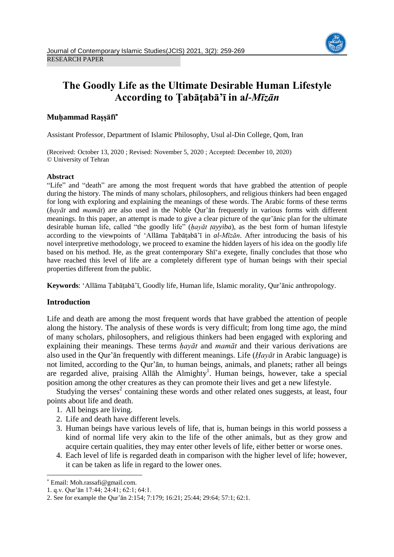

# **The Goodly Life as the Ultimate Desirable Human Lifestyle According to Ṭabāṭabā'ī in a***l-Mīzān*

# **Muḥammad Raṣṣāfī**

Assistant Professor, Department of Islamic Philosophy, Usul al-Din College, Qom, Iran

(Received: October 13, 2020 ; Revised: November 5, 2020 ; Accepted: December 10, 2020) © University of Tehran

## **Abstract**

"Life" and "death" are among the most frequent words that have grabbed the attention of people during the history. The minds of many scholars, philosophers, and religious thinkers had been engaged for long with exploring and explaining the meanings of these words. The Arabic forms of these terms (*ḥayāt* and *mamāt*) are also used in the Noble Qur'ān frequently in various forms with different meanings. In this paper, an attempt is made to give a clear picture of the qur'ānic plan for the ultimate desirable human life, called "the goodly life" (*ḥayāt ṭayyiba*), as the best form of human lifestyle according to the viewpoints of 'Allāma Ṭabāṭabā'ī in *al-Mīzān*. After introducing the basis of his novel interpretive methodology, we proceed to examine the hidden layers of his idea on the goodly life based on his method. He, as the great contemporary Shī'a exegete, finally concludes that those who have reached this level of life are a completely different type of human beings with their special properties different from the public.

**Keywords**: 'Allāma Ṭabāṭabā'ī, Goodly life, Human life, Islamic morality, Qur'ānic anthropology.

## **Introduction**

Life and death are among the most frequent words that have grabbed the attention of people along the history. The analysis of these words is very difficult; from long time ago, the mind of many scholars, philosophers, and religious thinkers had been engaged with exploring and explaining their meanings. These terms *ḥayāt* and *mamāt* and their various derivations are also used in the Qur'ān frequently with different meanings. Life (*Ḥayāt* in Arabic language) is not limited, according to the Qur'ān, to human beings, animals, and planets; rather all beings are regarded alive, praising Allāh the Almighty<sup>1</sup>. Human beings, however, take a special position among the other creatures as they can promote their lives and get a new lifestyle.

Studying the verses<sup>2</sup> containing these words and other related ones suggests, at least, four points about life and death.

- 1. All beings are living.
- 2. Life and death have different levels.
- 3. Human beings have various levels of life, that is, human beings in this world possess a kind of normal life very akin to the life of the other animals, but as they grow and acquire certain qualities, they may enter other levels of life, either better or worse ones.
- 4. Each level of life is regarded death in comparison with the higher level of life; however, it can be taken as life in regard to the lower ones.

 $\overline{a}$ 

Email: Moh.rassafi@gmail.com.

<sup>1.</sup> q.v. Qur'ān 17:44; 24:41; 62:1; 64:1.

<sup>2.</sup> See for example the Qur'ān 2:154; 7:179; 16:21; 25:44; 29:64; 57:1; 62:1.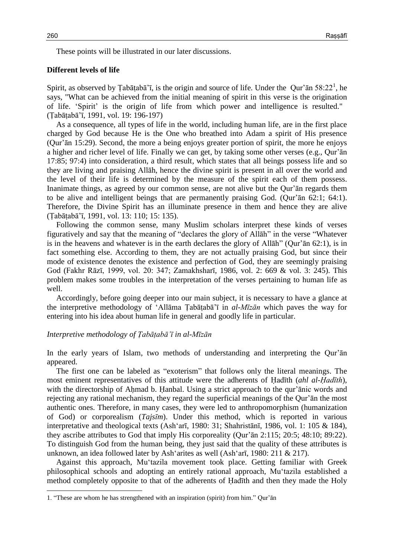These points will be illustrated in our later discussions.

#### **Different levels of life**

Spirit, as observed by Țabāṭabā'ī, is the origin and source of life. Under the Qur'ān  $58:22<sup>1</sup>$ , he says, "What can be achieved from the initial meaning of spirit in this verse is the origination of life. 'Spirit' is the origin of life from which power and intelligence is resulted." (Ṭabāṭabā'ī, 1991, vol. 19: 196-197)

As a consequence, all types of life in the world, including human life, are in the first place charged by God because He is the One who breathed into Adam a spirit of His presence (Qur'ān 15:29). Second, the more a being enjoys greater portion of spirit, the more he enjoys a higher and richer level of life. Finally we can get, by taking some other verses (e.g., Qur'ān 17:85; 97:4) into consideration, a third result, which states that all beings possess life and so they are living and praising Allāh, hence the divine spirit is present in all over the world and the level of their life is determined by the measure of the spirit each of them possess. Inanimate things, as agreed by our common sense, are not alive but the Qur'ān regards them to be alive and intelligent beings that are permanently praising God. (Qur'ān 62:1; 64:1). Therefore, the Divine Spirit has an illuminate presence in them and hence they are alive (Ṭabāṭabā'ī, 1991, vol. 13: 110; 15: 135).

Following the common sense, many Muslim scholars interpret these kinds of verses figuratively and say that the meaning of "declares the glory of Allāh" in the verse "Whatever is in the heavens and whatever is in the earth declares the glory of Allāh" (Qur'ān 62:1), is in fact something else. According to them, they are not actually praising God, but since their mode of existence denotes the existence and perfection of God, they are seemingly praising God (Fakhr Rāzī, 1999, vol. 20: 347; Zamakhsharī, 1986, vol. 2: 669 & vol. 3: 245). This problem makes some troubles in the interpretation of the verses pertaining to human life as well.

Accordingly, before going deeper into our main subject, it is necessary to have a glance at the interpretive methodology of 'Allāma Ṭabāṭabā'ī in *al-Mīzān* which paves the way for entering into his idea about human life in general and goodly life in particular.

#### *Interpretive methodology of Ṭabāṭabā'ī in al-Mīzān*

In the early years of Islam, two methods of understanding and interpreting the Qur'ān appeared.

The first one can be labeled as "exoterism" that follows only the literal meanings. The most eminent representatives of this attitude were the adherents of Ḥadīth (*ahl al-Ḥadīth*), with the directorship of Ahmad b. Hanbal. Using a strict approach to the qur'anic words and rejecting any rational mechanism, they regard the superficial meanings of the Qur'ān the most authentic ones. Therefore, in many cases, they were led to anthropomorphism (humanization of God) or corporealism (*Tajsīm*). Under this method, which is reported in various interpretative and theological texts (Ash'arī, 1980: 31; Shahristānī, 1986, vol. 1: 105 & 184), they ascribe attributes to God that imply His corporeality (Qur'ān 2:115; 20:5; 48:10; 89:22). To distinguish God from the human being, they just said that the quality of these attributes is unknown, an idea followed later by Ash'arites as well (Ash'arī, 1980: 211  $\&$  217).

Against this approach, Mu'tazila movement took place. Getting familiar with Greek philosophical schools and adopting an entirely rational approach, Mu'tazila established a method completely opposite to that of the adherents of Ḥadīth and then they made the Holy

l

<sup>1. &</sup>quot;These are whom he has strengthened with an inspiration (spirit) from him." Qur'ān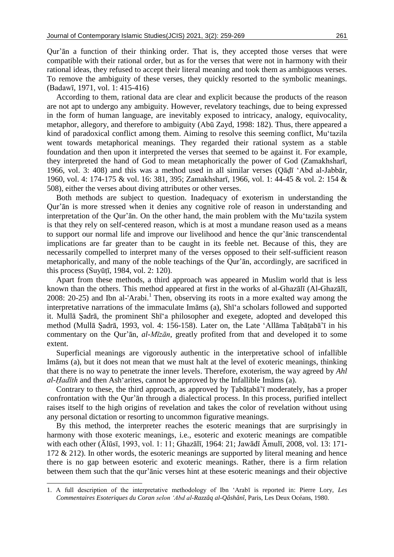Qur'ān a function of their thinking order. That is, they accepted those verses that were compatible with their rational order, but as for the verses that were not in harmony with their rational ideas, they refused to accept their literal meaning and took them as ambiguous verses. To remove the ambiguity of these verses, they quickly resorted to the symbolic meanings. (Badawī, 1971, vol. 1: 415-416)

According to them, rational data are clear and explicit because the products of the reason are not apt to undergo any ambiguity. However, revelatory teachings, due to being expressed in the form of human language, are inevitably exposed to intricacy, analogy, equivocality, metaphor, allegory, and therefore to ambiguity (Abū Zayd, 1998: 182). Thus, there appeared a kind of paradoxical conflict among them. Aiming to resolve this seeming conflict, Mu'tazila went towards metaphorical meanings. They regarded their rational system as a stable foundation and then upon it interpreted the verses that seemed to be against it. For example, they interpreted the hand of God to mean metaphorically the power of God (Zamakhsharī, 1966, vol. 3: 408) and this was a method used in all similar verses (Qāḍī 'Abd al-Jabbār, 1960, vol. 4: 174-175 & vol. 16: 381, 395; Zamakhsharī, 1966, vol. 1: 44-45 & vol. 2: 154 & 508), either the verses about diving attributes or other verses.

Both methods are subject to question. Inadequacy of exoterism in understanding the Qur'ān is more stressed when it denies any cognitive role of reason in understanding and interpretation of the Qur'ān. On the other hand, the main problem with the Mu'tazila system is that they rely on self-centered reason, which is at most a mundane reason used as a means to support our normal life and improve our livelihood and hence the qur'ānic transcendental implications are far greater than to be caught in its feeble net. Because of this, they are necessarily compelled to interpret many of the verses opposed to their self-sufficient reason metaphorically, and many of the noble teachings of the Qur'ān, accordingly, are sacrificed in this process (Suyūṭī, 1984, vol. 2: 120).

Apart from these methods, a third approach was appeared in Muslim world that is less known than the others. This method appeared at first in the works of al-Ghazālī (Al-Ghazālī, 2008: 20-25) and Ibn al-'Arabi.<sup>1</sup> Then, observing its roots in a more exalted way among the interpretative narrations of the immaculate Imāms (a), Shī'a scholars followed and supported it. Mullā Ṣadrā, the prominent Shī'a philosopher and exegete, adopted and developed this method (Mullā Ṣadrā, 1993, vol. 4: 156-158). Later on, the Late 'Allāma Ṭabāṭabā'ī in his commentary on the Qur'ān, *al-Mīzān*, greatly profited from that and developed it to some extent.

Superficial meanings are vigorously authentic in the interpretative school of infallible Imāms (a), but it does not mean that we must halt at the level of exoteric meanings, thinking that there is no way to penetrate the inner levels. Therefore, exoterism, the way agreed by *Ahl al-Ḥadīth* and then Ash'arites, cannot be approved by the Infallible Imāms (a).

Contrary to these, the third approach, as approved by Ṭabāṭabā'ī moderately, has a proper confrontation with the Qur'ān through a dialectical process. In this process, purified intellect raises itself to the high origins of revelation and takes the color of revelation without using any personal dictation or resorting to uncommon figurative meanings.

By this method, the interpreter reaches the esoteric meanings that are surprisingly in harmony with those exoteric meanings, i.e., esoteric and exoteric meanings are compatible with each other (Ālūsī, 1993, vol. 1: 11; Ghazālī, 1964: 21; Jawādī Āmulī, 2008, vol. 13: 171- 172  $\&$  212). In other words, the esoteric meanings are supported by literal meaning and hence there is no gap between esoteric and exoteric meanings. Rather, there is a firm relation between them such that the qur'ānic verses hint at these esoteric meanings and their objective

l

<sup>1.</sup> A full description of the interpretative methodology of Ibn 'Arabī is reported in: Pierre Lory, *Les Commentaires Esoteriques du Coran selon 'Abd al-Razzâq al-Qâshânî*, Paris, Les Deux Océans, 1980.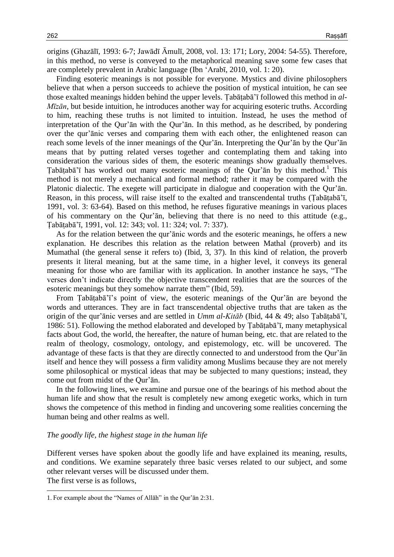origins (Ghazālī, 1993: 6-7; Jawādī Āmulī, 2008, vol. 13: 171; Lory, 2004: 54-55). Therefore, in this method, no verse is conveyed to the metaphorical meaning save some few cases that are completely prevalent in Arabic language (Ibn 'Arabī, 2010, vol. 1: 20).

Finding esoteric meanings is not possible for everyone. Mystics and divine philosophers believe that when a person succeeds to achieve the position of mystical intuition, he can see those exalted meanings hidden behind the upper levels. Ṭabāṭabā'ī followed this method in *al-Mīzān*, but beside intuition, he introduces another way for acquiring esoteric truths. According to him, reaching these truths is not limited to intuition. Instead, he uses the method of interpretation of the Qur'ān with the Qur'ān. In this method, as he described, by pondering over the qur'ānic verses and comparing them with each other, the enlightened reason can reach some levels of the inner meanings of the Qur'ān. Interpreting the Qur'ān by the Qur'ān means that by putting related verses together and contemplating them and taking into consideration the various sides of them, the esoteric meanings show gradually themselves. Tabāṭabā'ī has worked out many esoteric meanings of the Qur'ān by this method.<sup>1</sup> This method is not merely a mechanical and formal method; rather it may be compared with the Platonic dialectic. The exegete will participate in dialogue and cooperation with the Qur'ān. Reason, in this process, will raise itself to the exalted and transcendental truths (Ṭabāṭabā'ī, 1991, vol. 3: 63-64). Based on this method, he refuses figurative meanings in various places of his commentary on the Qur'ān, believing that there is no need to this attitude (e.g., Ṭabāṭabā'ī, 1991, vol. 12: 343; vol. 11: 324; vol. 7: 337).

As for the relation between the qur'ānic words and the esoteric meanings, he offers a new explanation. He describes this relation as the relation between Mathal (proverb) and its Mumathal (the general sense it refers to) (Ibid, 3, 37). In this kind of relation, the proverb presents it literal meaning, but at the same time, in a higher level, it conveys its general meaning for those who are familiar with its application. In another instance he says, "The verses don't indicate directly the objective transcendent realities that are the sources of the esoteric meanings but they somehow narrate them" (Ibid, 59).

From Ṭabāṭabā'ī's point of view, the esoteric meanings of the Qur'ān are beyond the words and utterances. They are in fact transcendental objective truths that are taken as the origin of the qur'ānic verses and are settled in *Umm al-Kitāb* (Ibid, 44 & 49; also Ṭabāṭabā'ī, 1986: 51). Following the method elaborated and developed by Ṭabāṭabā'ī, many metaphysical facts about God, the world, the hereafter, the nature of human being, etc. that are related to the realm of theology, cosmology, ontology, and epistemology, etc. will be uncovered. The advantage of these facts is that they are directly connected to and understood from the Qur'ān itself and hence they will possess a firm validity among Muslims because they are not merely some philosophical or mystical ideas that may be subjected to many questions; instead, they come out from midst of the Qur'ān.

In the following lines, we examine and pursue one of the bearings of his method about the human life and show that the result is completely new among exegetic works, which in turn shows the competence of this method in finding and uncovering some realities concerning the human being and other realms as well.

#### *The goodly life, the highest stage in the human life*

Different verses have spoken about the goodly life and have explained its meaning, results, and conditions. We examine separately three basic verses related to our subject, and some other relevant verses will be discussed under them. The first verse is as follows,

l 1. For example about the "Names of Allāh" in the Qur'ān 2:31.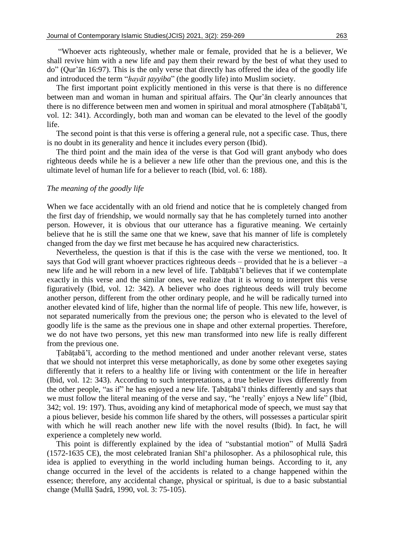"Whoever acts righteously, whether male or female, provided that he is a believer, We shall revive him with a new life and pay them their reward by the best of what they used to do" (Qur'ān 16:97). This is the only verse that directly has offered the idea of the goodly life and introduced the term "*ḥayāt ṭayyiba*" (the goodly life) into Muslim society.

The first important point explicitly mentioned in this verse is that there is no difference between man and woman in human and spiritual affairs. The Qur'ān clearly announces that there is no difference between men and women in spiritual and moral atmosphere (Ṭabāṭabā'ī, vol. 12: 341). Accordingly, both man and woman can be elevated to the level of the goodly life.

The second point is that this verse is offering a general rule, not a specific case. Thus, there is no doubt in its generality and hence it includes every person (Ibid).

The third point and the main idea of the verse is that God will grant anybody who does righteous deeds while he is a believer a new life other than the previous one, and this is the ultimate level of human life for a believer to reach (Ibid, vol. 6: 188).

#### *The meaning of the goodly life*

When we face accidentally with an old friend and notice that he is completely changed from the first day of friendship, we would normally say that he has completely turned into another person. However, it is obvious that our utterance has a figurative meaning. We certainly believe that he is still the same one that we knew, save that his manner of life is completely changed from the day we first met because he has acquired new characteristics.

Nevertheless, the question is that if this is the case with the verse we mentioned, too. It says that God will grant whoever practices righteous deeds – provided that he is a believer –a new life and he will reborn in a new level of life. Ṭabāṭabā'ī believes that if we contemplate exactly in this verse and the similar ones, we realize that it is wrong to interpret this verse figuratively (Ibid, vol. 12: 342). A believer who does righteous deeds will truly become another person, different from the other ordinary people, and he will be radically turned into another elevated kind of life, higher than the normal life of people. This new life, however, is not separated numerically from the previous one; the person who is elevated to the level of goodly life is the same as the previous one in shape and other external properties. Therefore, we do not have two persons, yet this new man transformed into new life is really different from the previous one.

Tabātabā'ī, according to the method mentioned and under another relevant verse, states that we should not interpret this verse metaphorically, as done by some other exegetes saying differently that it refers to a healthy life or living with contentment or the life in hereafter (Ibid, vol. 12: 343). According to such interpretations, a true believer lives differently from the other people, "as if" he has enjoyed a new life. Ṭabāṭabā'ī thinks differently and says that we must follow the literal meaning of the verse and say, "he 'really' enjoys a New life" (Ibid, 342; vol. 19: 197). Thus, avoiding any kind of metaphorical mode of speech, we must say that a pious believer, beside his common life shared by the others, will possesses a particular spirit with which he will reach another new life with the novel results (Ibid). In fact, he will experience a completely new world.

This point is differently explained by the idea of "substantial motion" of Mullā Ṣadrā (1572-1635 CE), the most celebrated Iranian Shī'a philosopher. As a philosophical rule, this idea is applied to everything in the world including human beings. According to it, any change occurred in the level of the accidents is related to a change happened within the essence; therefore, any accidental change, physical or spiritual, is due to a basic substantial change (Mullā Ṣadrā, 1990, vol. 3: 75-105).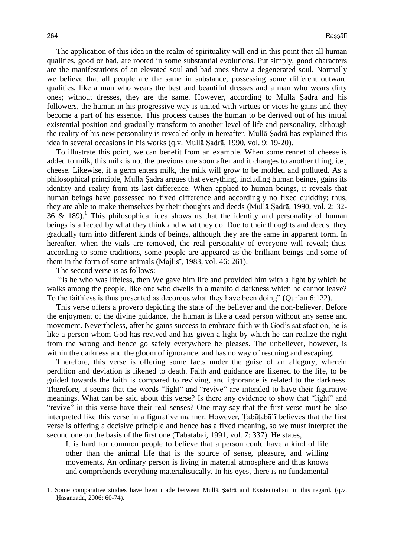The application of this idea in the realm of spirituality will end in this point that all human qualities, good or bad, are rooted in some substantial evolutions. Put simply, good characters are the manifestations of an elevated soul and bad ones show a degenerated soul. Normally we believe that all people are the same in substance, possessing some different outward qualities, like a man who wears the best and beautiful dresses and a man who wears dirty ones; without dresses, they are the same. However, according to Mullā Ṣadrā and his followers, the human in his progressive way is united with virtues or vices he gains and they become a part of his essence. This process causes the human to be derived out of his initial existential position and gradually transform to another level of life and personality, although the reality of his new personality is revealed only in hereafter. Mullā Ṣadrā has explained this idea in several occasions in his works (q.v. Mullā Ṣadrā, 1990, vol. 9: 19-20).

To illustrate this point, we can benefit from an example. When some rennet of cheese is added to milk, this milk is not the previous one soon after and it changes to another thing, i.e., cheese. Likewise, if a germ enters milk, the milk will grow to be molded and polluted. As a philosophical principle, Mullā Ṣadrā argues that everything, including human beings, gains its identity and reality from its last difference. When applied to human beings, it reveals that human beings have possessed no fixed difference and accordingly no fixed quiddity; thus, they are able to make themselves by their thoughts and deeds (Mullā Ṣadrā, 1990, vol. 2: 32-  $36 \& 189$ .<sup>1</sup> This philosophical idea shows us that the identity and personality of human beings is affected by what they think and what they do. Due to their thoughts and deeds, they gradually turn into different kinds of beings, although they are the same in apparent form. In hereafter, when the vials are removed, the real personality of everyone will reveal; thus, according to some traditions, some people are appeared as the brilliant beings and some of them in the form of some animals (Majlisī, 1983, vol. 46: 261).

The second verse is as follows:

"Is he who was lifeless, then We gave him life and provided him with a light by which he walks among the people, like one who dwells in a manifold darkness which he cannot leave? To the faithless is thus presented as decorous what they have been doing" (Qur'ān 6:122).

This verse offers a proverb depicting the state of the believer and the non-believer. Before the enjoyment of the divine guidance, the human is like a dead person without any sense and movement. Nevertheless, after he gains success to embrace faith with God's satisfaction, he is like a person whom God has revived and has given a light by which he can realize the right from the wrong and hence go safely everywhere he pleases. The unbeliever, however, is within the darkness and the gloom of ignorance, and has no way of rescuing and escaping.

Therefore, this verse is offering some facts under the guise of an allegory, wherein perdition and deviation is likened to death. Faith and guidance are likened to the life, to be guided towards the faith is compared to reviving, and ignorance is related to the darkness. Therefore, it seems that the words "light" and "revive" are intended to have their figurative meanings. What can be said about this verse? Is there any evidence to show that "light" and "revive" in this verse have their real senses? One may say that the first verse must be also interpreted like this verse in a figurative manner. However, Ṭabāṭabā'ī believes that the first verse is offering a decisive principle and hence has a fixed meaning, so we must interpret the second one on the basis of the first one (Tabatabai, 1991, vol. 7: 337). He states,

It is hard for common people to believe that a person could have a kind of life other than the animal life that is the source of sense, pleasure, and willing movements. An ordinary person is living in material atmosphere and thus knows and comprehends everything materialistically. In his eyes, there is no fundamental

l

<sup>1.</sup> Some comparative studies have been made between Mullā Ṣadrā and Existentialism in this regard. (q.v. Ḥasanzāda, 2006: 60-74).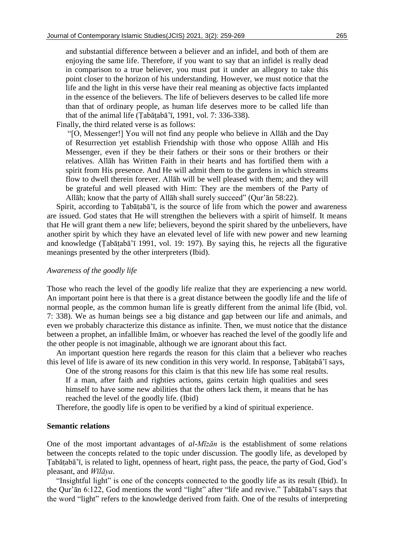and substantial difference between a believer and an infidel, and both of them are enjoying the same life. Therefore, if you want to say that an infidel is really dead in comparison to a true believer, you must put it under an allegory to take this point closer to the horizon of his understanding. However, we must notice that the life and the light in this verse have their real meaning as objective facts implanted in the essence of the believers. The life of believers deserves to be called life more than that of ordinary people, as human life deserves more to be called life than that of the animal life (Ṭabāṭabā'ī, 1991, vol. 7: 336-338).

Finally, the third related verse is as follows:

"[O, Messenger!] You will not find any people who believe in Allāh and the Day of Resurrection yet establish Friendship with those who oppose Allāh and His Messenger, even if they be their fathers or their sons or their brothers or their relatives. Allāh has Written Faith in their hearts and has fortified them with a spirit from His presence. And He will admit them to the gardens in which streams flow to dwell therein forever. Allāh will be well pleased with them; and they will be grateful and well pleased with Him: They are the members of the Party of Allāh; know that the party of Allāh shall surely succeed" (Qur'ān 58:22).

Spirit, according to Tabātabā'ī, is the source of life from which the power and awareness are issued. God states that He will strengthen the believers with a spirit of himself. It means that He will grant them a new life; believers, beyond the spirit shared by the unbelievers, have another spirit by which they have an elevated level of life with new power and new learning and knowledge (Ṭabāṭabā'ī 1991, vol. 19: 197). By saying this, he rejects all the figurative meanings presented by the other interpreters (Ibid).

## *Awareness of the goodly life*

Those who reach the level of the goodly life realize that they are experiencing a new world. An important point here is that there is a great distance between the goodly life and the life of normal people, as the common human life is greatly different from the animal life (Ibid, vol. 7: 338). We as human beings see a big distance and gap between our life and animals, and even we probably characterize this distance as infinite. Then, we must notice that the distance between a prophet, an infallible Imām, or whoever has reached the level of the goodly life and the other people is not imaginable, although we are ignorant about this fact.

An important question here regards the reason for this claim that a believer who reaches this level of life is aware of its new condition in this very world. In response, Ṭabāṭabā'ī says,

One of the strong reasons for this claim is that this new life has some real results. If a man, after faith and righties actions, gains certain high qualities and sees himself to have some new abilities that the others lack them, it means that he has reached the level of the goodly life. (Ibid)

Therefore, the goodly life is open to be verified by a kind of spiritual experience.

## **Semantic relations**

One of the most important advantages of *al-Mīzān* is the establishment of some relations between the concepts related to the topic under discussion. The goodly life, as developed by Ṭabāṭabā'ī, is related to light, openness of heart, right pass, the peace, the party of God, God's pleasant, and *Wīlāya*.

"Insightful light" is one of the concepts connected to the goodly life as its result (Ibid). In the Qur'ān 6:122, God mentions the word "light" after "life and revive." Ṭabāṭabā'ī says that the word "light" refers to the knowledge derived from faith. One of the results of interpreting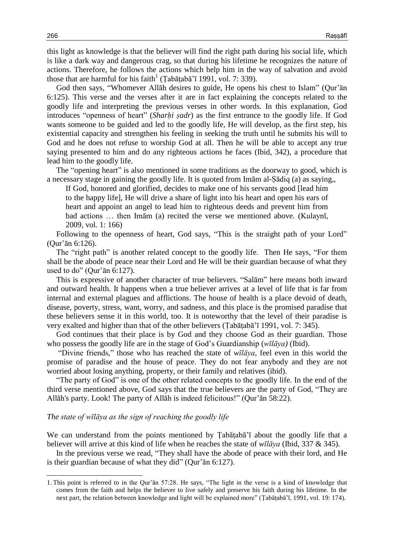this light as knowledge is that the believer will find the right path during his social life, which is like a dark way and dangerous crag, so that during his lifetime he recognizes the nature of actions. Therefore, he follows the actions which help him in the way of salvation and avoid those that are harmful for his faith<sup>1</sup> (Tabāṭabā'ī 1991, vol. 7: 339).

God then says, "Whomever Allāh desires to guide, He opens his chest to Islam" (Qur'ān 6:125). This verse and the verses after it are in fact explaining the concepts related to the goodly life and interpreting the previous verses in other words. In this explanation, God introduces "openness of heart" (*Sharḥi ṣadr*) as the first entrance to the goodly life. If God wants someone to be guided and led to the goodly life, He will develop, as the first step, his existential capacity and strengthen his feeling in seeking the truth until he submits his will to God and he does not refuse to worship God at all. Then he will be able to accept any true saying presented to him and do any righteous actions he faces (Ibid, 342), a procedure that lead him to the goodly life.

The "opening heart" is also mentioned in some traditions as the doorway to good, which is a necessary stage in gaining the goodly life. It is quoted from Imām al-Ṣādiq (a) as saying,,

If God, honored and glorified, decides to make one of his servants good [lead him to the happy life], He will drive a share of light into his heart and open his ears of heart and appoint an angel to lead him to righteous deeds and prevent him from bad actions … then Imām (a) recited the verse we mentioned above. (Kulaynī, 2009, vol. 1: 166)

Following to the openness of heart, God says, "This is the straight path of your Lord" (Qur'ān 6:126).

The "right path" is another related concept to the goodly life. Then He says, "For them shall be the abode of peace near their Lord and He will be their guardian because of what they used to do" (Qur'ān 6:127).

This is expressive of another character of true believers. "Salām" here means both inward and outward health. It happens when a true believer arrives at a level of life that is far from internal and external plagues and afflictions. The house of health is a place devoid of death, disease, poverty, stress, want, worry, and sadness, and this place is the promised paradise that these believers sense it in this world, too. It is noteworthy that the level of their paradise is very exalted and higher than that of the other believers (Ṭabāṭabā'ī 1991, vol. 7: 345).

God continues that their place is by God and they choose God as their guardian. Those who possess the goodly life are in the stage of God's Guardianship (*wīlāya)* (Ibid).

"Divine friends," those who has reached the state of *wīlāya*, feel even in this world the promise of paradise and the house of peace. They do not fear anybody and they are not worried about losing anything, property, or their family and relatives (ibid).

"The party of God" is one of the other related concepts to the goodly life. In the end of the third verse mentioned above, God says that the true believers are the party of God, "They are Allāh's party. Look! The party of Allāh is indeed felicitous!" (Qur'ān 58:22).

#### *The state of wīlāya as the sign of reaching the goodly life*

We can understand from the points mentioned by Tabātaba i about the goodly life that a believer will arrive at this kind of life when he reaches the state of *wīlāya* (Ibid, 337 & 345).

In the previous verse we read, "They shall have the abode of peace with their lord, and He is their guardian because of what they did" (Qur'ān 6:127).

 $\overline{\phantom{0}}$ 

<sup>1.</sup> This point is referred to in the Qur'ān 57:28. He says, "The light in the verse is a kind of knowledge that comes from the faith and helps the believer to live safely and preserve his faith during his lifetime. In the next part, the relation between knowledge and light will be explained more" (Ṭabāṭabā'ī, 1991, vol. 19: 174).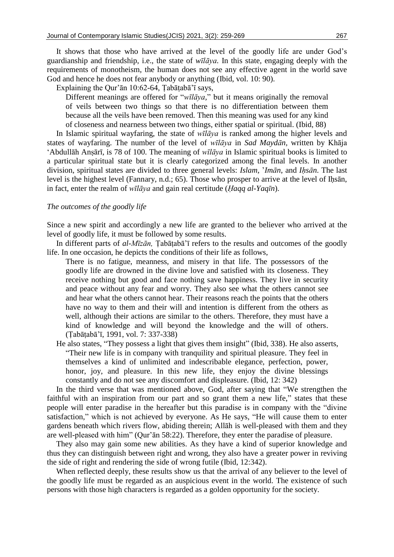It shows that those who have arrived at the level of the goodly life are under God's guardianship and friendship, i.e., the state of *wīlāya.* In this state, engaging deeply with the requirements of monotheism, the human does not see any effective agent in the world save God and hence he does not fear anybody or anything (Ibid, vol. 10: 90).

Explaining the Qur'ān 10:62-64, Ṭabāṭabā'ī says,

Different meanings are offered for "*wīlāya,*" but it means originally the removal of veils between two things so that there is no differentiation between them because all the veils have been removed. Then this meaning was used for any kind of closeness and nearness between two things, either spatial or spiritual. (Ibid, 88)

In Islamic spiritual wayfaring, the state of *wīlāya* is ranked among the higher levels and states of wayfaring. The number of the level of *wīlāya* in *Sad Maydān,* written by Khāja 'Abdullāh Anṣārī, is 78 of 100. The meaning of *wīlāya* in Islamic spiritual books is limited to a particular spiritual state but it is clearly categorized among the final levels. In another division, spiritual states are divided to three general levels: *Islam*, '*Imān*, and *Iḥsān*. The last level is the highest level (Fannary, n.d.; 65). Those who prosper to arrive at the level of Ihsan, in fact, enter the realm of *wīlāya* and gain real certitude (*Ḥaqq al-Yaqīn*).

## *The outcomes of the goodly life*

Since a new spirit and accordingly a new life are granted to the believer who arrived at the level of goodly life, it must be followed by some results.

In different parts of *al-Mīzān,* Ṭabāṭabā'ī refers to the results and outcomes of the goodly life. In one occasion, he depicts the conditions of their life as follows,

- There is no fatigue, meanness, and misery in that life. The possessors of the goodly life are drowned in the divine love and satisfied with its closeness. They receive nothing but good and face nothing save happiness. They live in security and peace without any fear and worry. They also see what the others cannot see and hear what the others cannot hear. Their reasons reach the points that the others have no way to them and their will and intention is different from the others as well, although their actions are similar to the others. Therefore, they must have a kind of knowledge and will beyond the knowledge and the will of others. (Ṭabāṭabā'ī, 1991, vol. 7: 337-338)
- He also states, "They possess a light that gives them insight" (Ibid, 338). He also asserts, "Their new life is in company with tranquility and spiritual pleasure. They feel in themselves a kind of unlimited and indescribable elegance, perfection, power, honor, joy, and pleasure. In this new life, they enjoy the divine blessings constantly and do not see any discomfort and displeasure. (Ibid, 12: 342)

In the third verse that was mentioned above, God, after saying that "We strengthen the faithful with an inspiration from our part and so grant them a new life," states that these people will enter paradise in the hereafter but this paradise is in company with the "divine satisfaction," which is not achieved by everyone. As He says, "He will cause them to enter gardens beneath which rivers flow, abiding therein; Allāh is well-pleased with them and they are well-pleased with him" (Qur'ān 58:22). Therefore, they enter the paradise of pleasure.

They also may gain some new abilities. As they have a kind of superior knowledge and thus they can distinguish between right and wrong, they also have a greater power in reviving the side of right and rendering the side of wrong futile (Ibid, 12:342).

When reflected deeply, these results show us that the arrival of any believer to the level of the goodly life must be regarded as an auspicious event in the world. The existence of such persons with those high characters is regarded as a golden opportunity for the society.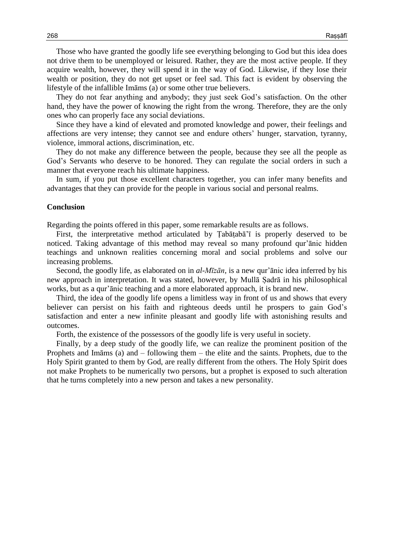Those who have granted the goodly life see everything belonging to God but this idea does not drive them to be unemployed or leisured. Rather, they are the most active people. If they acquire wealth, however, they will spend it in the way of God. Likewise, if they lose their wealth or position, they do not get upset or feel sad. This fact is evident by observing the lifestyle of the infallible Imāms (a) or some other true believers.

They do not fear anything and anybody; they just seek God's satisfaction. On the other hand, they have the power of knowing the right from the wrong. Therefore, they are the only ones who can properly face any social deviations.

Since they have a kind of elevated and promoted knowledge and power, their feelings and affections are very intense; they cannot see and endure others' hunger, starvation, tyranny, violence, immoral actions, discrimination, etc.

They do not make any difference between the people, because they see all the people as God's Servants who deserve to be honored. They can regulate the social orders in such a manner that everyone reach his ultimate happiness.

In sum, if you put those excellent characters together, you can infer many benefits and advantages that they can provide for the people in various social and personal realms.

#### **Conclusion**

Regarding the points offered in this paper, some remarkable results are as follows.

First, the interpretative method articulated by Ṭabāṭabā'ī is properly deserved to be noticed. Taking advantage of this method may reveal so many profound qur'ānic hidden teachings and unknown realities concerning moral and social problems and solve our increasing problems.

Second, the goodly life, as elaborated on in *al-Mīzān,* is a new qur'ānic idea inferred by his new approach in interpretation. It was stated, however, by Mullā Ṣadrā in his philosophical works, but as a qur'ānic teaching and a more elaborated approach, it is brand new.

Third, the idea of the goodly life opens a limitless way in front of us and shows that every believer can persist on his faith and righteous deeds until he prospers to gain God's satisfaction and enter a new infinite pleasant and goodly life with astonishing results and outcomes.

Forth, the existence of the possessors of the goodly life is very useful in society.

Finally, by a deep study of the goodly life, we can realize the prominent position of the Prophets and Imāms (a) and – following them – the elite and the saints. Prophets, due to the Holy Spirit granted to them by God, are really different from the others. The Holy Spirit does not make Prophets to be numerically two persons, but a prophet is exposed to such alteration that he turns completely into a new person and takes a new personality.